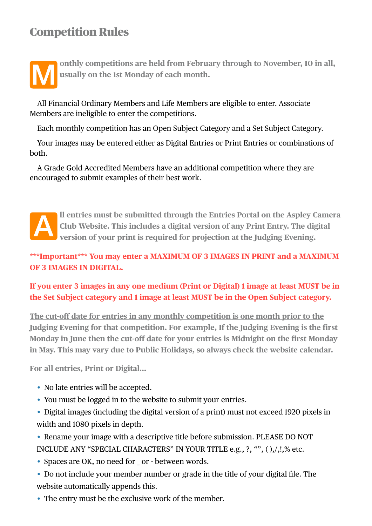## Competition Rules



onthly competitions are held from February through to November, 10 in all, **usually on the 1st Monday of each month.**

All Financial Ordinary Members and Life Members are eligible to enter. Associate Members are ineligible to enter the competitions.

Each monthly competition has an Open Subject Category and a Set Subject Category.

Your images may be entered either as Digital Entries or Print Entries or combinations of both.

A Grade Gold Accredited Members have an additional competition where they are encouraged to submit examples of their best work.



## **\*\*\*Important\*\*\* You may enter a MAXIMUM OF 3 IMAGES IN PRINT and a MAXIMUM OF 3 IMAGES IN DIGITAL.**

**If you enter 3 images in any one medium (Print or Digital) 1 image at least MUST be in the Set Subject category and 1 image at least MUST be in the Open Subject category.**

**The cut-off date for entries in any monthly competition is one month prior to the Judging Evening for that competition. For example, If the Judging Evening is the first Monday in June then the cut-off date for your entries is Midnight on the first Monday in May. This may vary due to Public Holidays, so always check the website calendar.**

**For all entries, Print or Digital…**

- No late entries will be accepted.
- You must be logged in to the website to submit your entries.
- Digital images (including the digital version of a print) must not exceed 1920 pixels in width and 1080 pixels in depth.
- Rename your image with a descriptive title before submission. PLEASE DO NOT INCLUDE ANY "SPECIAL CHARACTERS" IN YOUR TITLE e.g., ?, "", ( ),/,!,% etc.
- Spaces are OK, no need for or between words.
- Do not include your member number or grade in the title of your digital file. The website automatically appends this.
- The entry must be the exclusive work of the member.